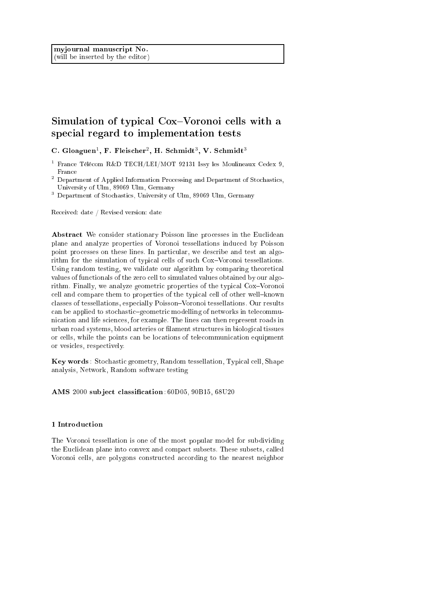# Simulation of typical Cox-Voronoi cells with a special regard to implementation tests

C. Gloaguen<sup>1</sup>, F. Fleischer<sup>2</sup>, H. Schmidt<sup>3</sup>, V. Schmidt<sup>3</sup>

- <sup>1</sup> France Télécom R&D TECH/LEI/MOT 92131 Issy les Moulineaux Cedex 9, France
- $2$  Department of Applied Information Processing and Department of Stochastics. University of Ulm, 89069 Ulm, Germany
- <sup>3</sup> Department of Stochastics, University of Ulm, 89069 Ulm, Germany

Received: date / Revised version: date

**Abstract** We consider stationary Poisson line processes in the Euclidean plane and analyze properties of Voronoi tessellations induced by Poisson point processes on these lines. In particular, we describe and test an algorithm for the simulation of typical cells of such Cox-Voronoi tessellations. Using random testing, we validate our algorithm by comparing theoretical values of functionals of the zero cell to simulated values obtained by our algorithm. Finally, we analyze geometric properties of the typical Cox-Voronoi cell and compare them to properties of the typical cell of other well-known classes of tessellations, especially Poisson-Voronoi tessellations. Our results can be applied to stochastic-geometric modelling of networks in telecommunication and life sciences, for example. The lines can then represent roads in urban road systems, blood arteries or filament structures in biological tissues or cells, while the points can be locations of telecommunication equipment or vesicles, respectively.

Key words: Stochastic geometry, Random tessellation, Typical cell, Shape analysis, Network, Random software testing

## AMS 2000 subject classification: 60D05, 90B15, 68U20

## 1 Introduction

The Voronoi tessellation is one of the most popular model for subdividing the Euclidean plane into convex and compact subsets. These subsets, called Voronoi cells, are polygons constructed according to the nearest neighbor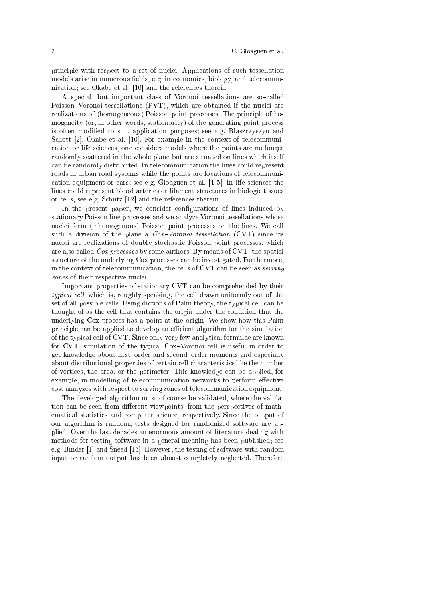principle with respect to a set of nuclei. Applications of such tessellation models arise in numerous fields, e.g. in economics, biology, and telecommunication; see Okabe et al. [10] and the references therein.

A special, but important class of Voronoi tessellations are so-called Poisson–Voronoi tessellations (PVT), which are obtained if the nuclei are realizations of (homogeneous) Poisson point processes. The principle of homogeneity (or, in other words, stationarity) of the generating point process is often modified to suit application purposes; see e.g. Błaszczyszyn and Schott [2], Okabe et al. [10]. For example in the context of telecommuniation or life s
ien
es, one onsiders models where the points are no longer randomly s
attered in the whole plane but are situated on lines whi
h itself an be randomly distributed. In tele
ommuni
ation the lines ould represent roads in urban road systems while the points are locations of telecommunication equipment or cars; see e.g. Gloaguen et al.  $[4,5]$ . In life sciences the lines could represent blood arteries or filament structures in biologic tissues or cells; see e.g. Schütz [12] and the references therein.

In the present paper, we consider configurations of lines induced by stationary Poisson line pro
esses and we analyze Voronoi tessellations whose nuclei form (inhomogenous) Poisson point processes on the lines. We call such a division of the plane a  $Cox-Voronoi$  tessellation (CVT) since its nuclei are realizations of doubly stochastic Poisson point processes, which are also called *Cox processes* by some authors. By means of CVT, the spatial structure of the underlying Cox processes can be investigated. Furthermore, in the context of telecommunication, the cells of CVT can be seen as *serving* zones of their respective nuclei.

Important properties of stationary CVT can be comprehended by their typical cell, which is, roughly speaking, the cell drawn uniformly out of the set of all possible cells. Using dictions of Palm theory, the typical cell can be thought of as the ell that ontains the origin under the ondition that the underlying Cox pro
ess has a point at the origin. We show how this Palm principle can be applied to develop an efficient algorithm for the simulation of the typi
al ell of CVT. Sin
e only very few analyti
al formulae are known for CVT, simulation of the typical Cox–Voronoi cell is useful in order to get knowledge about first-order and second-order moments and especially about distributional properties of certain cell characteristics like the number of verti
es, the area, or the perimeter. This knowledge an be applied, for example, in modelling of telecommunication networks to perform effective ost analyzes with respe
t to serving zones of tele
ommuni
ation equipment.

The developed algorithm must of course be validated, where the validation can be seen from different viewpoints: from the perspectives of mathematical statistics and computer science, respectively. Since the output of our algorithm is random, tests designed for randomized software are applied. Over the last decades an enormous amount of literature dealing with methods for testing software in a general meaning has been published; see e.g. Binder  $[1]$  and Sneed  $[13]$ . However, the testing of software with random input or random output has been almost completely neglected. Therefore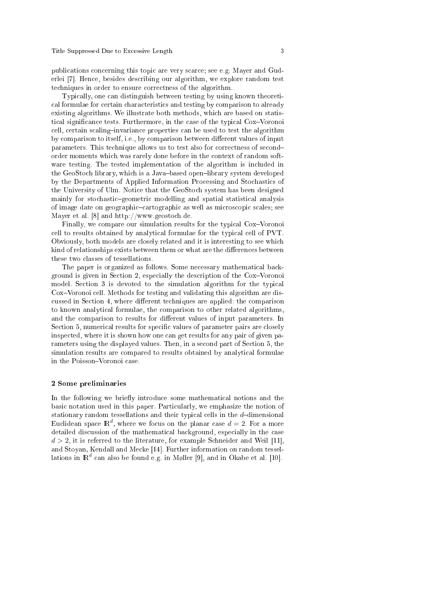publications concerning this topic are very scarce; see e.g. Mayer and Guderlei [7]. Hence, besides describing our algorithm, we explore random test te
hniques in order to ensure orre
tness of the algorithm.

Typi
ally, one an distinguish between testing by using known theoreti al formulae for ertain hara
teristi
s and testing by omparison to already existing algorithms. We illustrate both methods, whi
h are based on statistical significance tests. Furthermore, in the case of the typical Cox-Voronoi cell, certain scaling-invariance properties can be used to test the algorithm by comparison to itself, i.e., by comparison between different values of input parameters. This technique allows us to test also for correctness of secondorder moments whi
h was rarely done before in the ontext of random software testing. The tested implementation of the algorithm is in
luded in the GeoStoch library, which is a Java-based open-library system developed by the Departments of Applied Information Processing and Stochastics of the University of Ulm. Noti
e that the GeoSto
h system has been designed mainly for stochastic-geometric modelling and spatial statistical analysis of image date on geographic-cartographic as well as microscopic scales; see Mayer et al.  $[8]$  and http://www.geostoch.de.

Finally, we compare our simulation results for the typical Cox-Voronoi ell to results obtained by analyti
al formulae for the typi
al ell of PVT. Obviously, both models are closely related and it is interesting to see which kind of relationships exists between them or what are the differences between these two lasses of tessellations.

The paper is organized as follows. Some necessary mathematical background is given in Section 2, especially the description of the Cox-Voronoi model. Section 3 is devoted to the simulation algorithm for the typical Cox–Voronoi cell. Methods for testing and validating this algorithm are discussed in Section 4, where different techniques are applied: the comparison to known analyti
al formulae, the omparison to other related algorithms, and the comparison to results for different values of input parameters. In Section 5, numerical results for specific values of parameter pairs are closely inspected, where it is shown how one can get results for any pair of given parameters using the displayed values. Then, in a second part of Section 5, the simulation results are ompared to results obtained by analyti
al formulae in the Poisson-Voronoi case.

#### 2 Some preliminaries

In the following we briefly introduce some mathematical notions and the basi notation used in this paper. Parti
ularly, we emphasize the notion of stationary random tessellations and their typical cells in the  $d$ -dimensional Euclidean space  $\mathbb{R}^d,$  where we focus on the planar case  $d=2.$  For a more detailed discussion of the mathematical background, especially in the case  $d > 2$ , it is referred to the literature, for example Schneider and Weil [11], and Stoyan, Kendall and Mecke [14]. Further information on random tessellations in  $\mathbb{R}^d$  can also be found e.g. in Møller [9], and in Okabe et al. [10].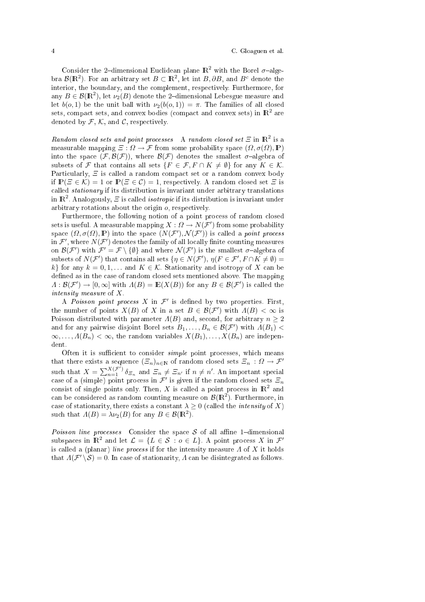Consider the 2-dimensional Euclidean plane  $\mathbb{R}^2$  with the Borel  $\sigma$ -algebra  $\mathcal{B}(\mathbb{R}^2)$ . For an arbitrary set  $B \subset \mathbb{R}^2$ , let int  $B, \partial B$ , and  $B^c$  denote the interior, the boundary, and the complement, respectively. Furthermore, for any  $B \in \mathcal{B}(\mathbb{R}^2)$ , let  $\nu_2(B)$  denote the 2-dimensional Lebesgue measure and let  $b(o, 1)$  be the unit ball with  $\nu_2(b(o, 1)) = \pi$ . The families of all closed sets, compact sets, and convex bodies (compact and convex sets) in  $\mathbb{R}^2$  are denoted by  $\mathcal{F}, \mathcal{K}$ , and  $\mathcal{C}$ , respectively.

Random closed sets and point processes A random closed set  $\Xi$  in  $\mathbb{R}^2$  is a measurable mapping  $\mathcal{E}: \Omega \to \mathcal{F}$  from some probability space  $(\Omega, \sigma(\Omega), \mathbb{P})$ into the space  $(\mathcal{F}, \mathcal{B}(\mathcal{F}))$ , where  $\mathcal{B}(\mathcal{F})$  denotes the smallest  $\sigma$ -algebra of subsets of F that contains all sets  $\{F \in \mathcal{F}, F \cap K \neq \emptyset\}$  for any  $K \in \mathcal{K}$ . Particularly,  $\Xi$  is called a random compact set or a random convex body if  $\mathbb{P}(\Xi \in \mathcal{K}) = 1$  or  $\mathbb{P}(\Xi \in \mathcal{C}) = 1$ , respectively. A random closed set  $\Xi$  is alled stationary if its distribution is invariant under arbitrary translations in  $\mathbb{R}^2$ . Analogously,  $\varXi$  is called *isotropic* if its distribution is invariant under arbitrary rotations about the origin  $\rho$ , respectively.

Furthermore, the following notion of a point process of random closed sets is useful. A measurable mapping  $X: \Omega \to N(\mathcal{F}')$  from some probability space  $(\Omega, \sigma(\Omega), \mathbb{P})$  into the space  $(N(\mathcal{F}'), \mathcal{N}(\mathcal{F}'))$  is called a *point process* in  $\mathcal{F}'$ , where  $N(\mathcal{F}')$  denotes the family of all locally finite counting measures on  $\mathcal{B}(\mathcal{F}')$  with  $\mathcal{F}' = \mathcal{F} \setminus \{ \emptyset \}$  and where  $\mathcal{N}(\mathcal{F}')$  is the smallest  $\sigma$ -algebra of subsets of  $N(\mathcal{F}')$  that contains all sets  $\{\eta \in N(\mathcal{F}'), \eta(F \in \mathcal{F}', F \cap K \neq \emptyset) =$ k} for any  $k = 0, 1, \ldots$  and  $K \in \mathcal{K}$ . Stationarity and isotropy of X can be defined as in the case of random closed sets mentioned above. The mapping  $\Lambda: \mathcal{B}(\mathcal{F}') \to [0, \infty]$  with  $\Lambda(B) = \mathbb{E}(X(B))$  for any  $B \in \mathcal{B}(\mathcal{F}')$  is called the intensity measure of  $X$ .

A Poisson point process X in  $\mathcal{F}'$  is defined by two properties. First, the number of points  $X(B)$  of X in a set  $B \in \mathcal{B}(\mathcal{F}')$  with  $\Lambda(B) < \infty$  is Poisson distributed with parameter  $\Lambda(B)$  and, second, for arbitrary  $n \geq 2$ and for any pairwise disjoint Borel sets  $B_1, \ldots, B_n \in \mathcal{B}(\mathcal{F}')$  with  $\Lambda(B_1)$  $\infty, \ldots, \Lambda(B_n) < \infty$ , the random variables  $X(B_1), \ldots, X(B_n)$  are independent

Often it is sufficient to consider *simple* point processes, which means that there exists a sequence  $(\Xi_n)_{n\in\mathbb{N}}$  of random closed sets  $\Xi_n$ :  $\Omega \to \mathcal{F}'$ such that  $X = \sum_{n=1}^{X(\mathcal{F})} \delta_{\Xi_n}$  and  $\Xi_n \neq \Xi_{n'}$  if  $n \neq n'$ . An important special case of a (simple) point process in  $\mathcal{F}'$  is given if the random closed sets  $\Xi_n$ consist of single points only. Then,  $X$  is called a point process in  $\mathbb{R}^2$  and can be considered as random counting measure on  $\mathcal{B}(\mathbb{R}^2)$ . Furthermore, in case of stationarity, there exists a constant  $\lambda \geq 0$  (called the *intensity* of X) such that  $\Lambda(B) = \lambda \nu_2(B)$  for any  $B \in \mathcal{B}(\mathbb{R}^2)$ .

Poisson line processes Consider the space  $S$  of all affine 1-dimensional subspaces in  $\mathbb{R}^2$  and let  $\mathcal{L} = \{L \in \mathcal{S} : o \in L\}$ . A point process X in  $\mathcal{F}'$ is called a (planar) line process if for the intensity measure  $\Lambda$  of  $X$  it holds that  $\Lambda(\mathcal{F}'\setminus\mathcal{S})=0$ . In case of stationarity,  $\Lambda$  can be disintegrated as follows.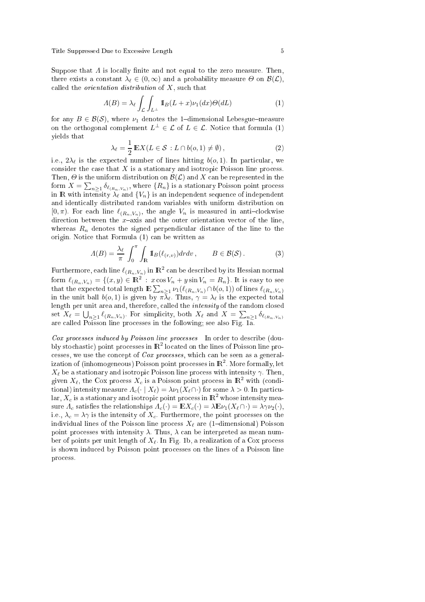Suppose that  $\Lambda$  is locally finite and not equal to the zero measure. Then, there exists a constant  $\lambda_{\ell} \in (0,\infty)$  and a probability measure  $\Theta$  on  $\mathcal{B}(\mathcal{L}),$ called the *orientation* distribution of  $X$ , such that

$$
\Lambda(B) = \lambda_{\ell} \int_{\mathcal{L}} \int_{L^{\perp}} \mathbb{1}_{B}(L+x)\nu_{1}(dx)\Theta(dL) \tag{1}
$$

for any  $B \in \mathcal{B}(\mathcal{S})$ , where  $\nu_1$  denotes the 1-dimensional Lebesgue-measure on the orthogonal complement  $L^{\perp} \in \mathcal{L}$  of  $L \in \mathcal{L}$ . Notice that formula (1) yields that

$$
\lambda_{\ell} = \frac{1}{2} \mathbb{E} X (L \in \mathcal{S} : L \cap b(o, 1) \neq \emptyset), \tag{2}
$$

i.e.,  $2\lambda_{\ell}$  is the expected number of lines hitting  $b(o, 1)$ . In particular, we consider the case that  $X$  is a stationary and isotropic Poisson line process. Then,  $\Theta$  is the uniform distribution on  $\mathcal{B}(\mathcal{L})$  and X can be represented in the form  $X = \sum_{n\geq 1} \delta_{\ell_{(R_n,V_n)}}$ , where  $\{R_n\}$  is a stationary Poisson point process in **R** with intensity  $\lambda_{\ell}$  and  $\{V_n\}$  is an independent sequence of independent and identi
ally distributed random variables with uniform distribution on [0,  $\pi$ ). For each line  $\ell_{(R_n,V_n)}$ , the angle  $V_n$  is measured in anti-clockwise direction between the  $x$ -axis and the outer orientation vector of the line, whereas  $R_n$  denotes the signed perpendicular distance of the line to the origin. Noti
e that Formula (1) an be written as

$$
\Lambda(B) = \frac{\lambda_{\ell}}{\pi} \int_0^{\pi} \int_{\mathbf{R}} \mathbb{1}_B(\ell_{(r,v)}) dr dv , \qquad B \in \mathcal{B}(\mathcal{S}). \tag{3}
$$

Furthermore, each line  $\ell_{(R_n,V_n)}$  in  ${\rm I\hspace{-0.2em}R}^2$  can be described by its Hessian normal form  $\ell_{(R_n,V_n)} = \{(x,y) \in \mathbb{R}^2 : x \cos V_n + y \sin V_n = R_n\}$ . It is easy to see that the expected total length  $\mathbb{E} \sum_{n\geq 1} \nu_1(\ell_{(R_n,V_n)} \cap b(o, 1))$  of lines  $\ell_{(R_n,V_n)}$ in the unit ball  $b(o, 1)$  is given by  $\pi \overline{\lambda}_{\ell}$ . Thus,  $\gamma = \lambda_{\ell}$  is the expected total length per unit area and, therefore, called the *intensity* of the random closed set  $X_{\ell} = \bigcup_{n \geq 1} \ell_{(R_n, V_n)}$ . For simplicity, both  $X_{\ell}$  and  $X = \sum_{n \geq 1} \delta_{\ell_{(R_n, V_n)}}$ are alled Poisson line pro
esses in the following; see also Fig. 1a.

Cox processes induced by Poisson line processes In order to describe (doubly stochastic) point processes in  $\mathbb{R}^2$  located on the lines of Poisson line processes, we use the concept of *Cox processes*, which can be seen as a generalization of (inhomogeneous) Poisson point processes in  $\mathbb{R}^2$ . More formally, let  $X_{\ell}$  be a stationary and isotropic Poisson line process with intensity  $\gamma$ . Then, given  $X_{\ell}$ , the Cox process  $X_c$  is a Poisson point process in  $\mathbb{R}^2$  with (conditional) intensity measure  $\Lambda_c(\cdot | X_\ell) = \lambda \nu_1(X_\ell \cap \cdot)$  for some  $\lambda > 0$ . In particular,  $X_c$  is a stationary and isotropic point process in  $\mathbb{R}^2$  whose intensity measure  $\Lambda_c$  satisfies the relationships  $\Lambda_c(\cdot) = \mathbb{E} X_c(\cdot) = \lambda \mathbb{E} \nu_1(X_\ell \cap \cdot) = \lambda \gamma \nu_2(\cdot),$ i.e.,  $\lambda_c = \lambda \gamma$  is the intensity of  $X_c$ . Furthermore, the point processes on the individual lines of the Poisson line process  $X_{\ell}$  are (1-dimensional) Poisson point processes with intensity  $\lambda$ . Thus,  $\lambda$  can be interpreted as mean number of points per unit length of  $X_{\ell}$ . In Fig. 1b, a realization of a Cox process is shown indu
ed by Poisson point pro
esses on the lines of a Poisson line pro
ess.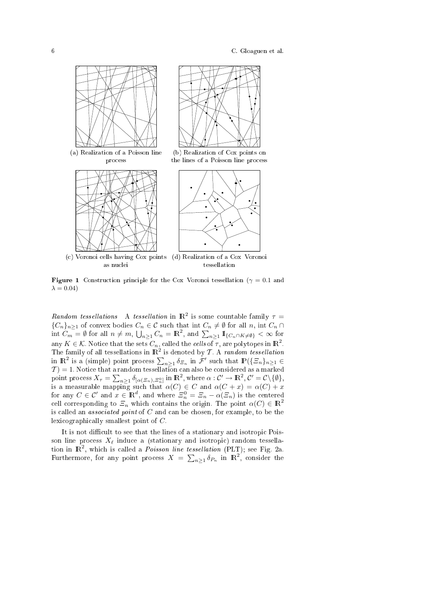

**Figure 1** Construction principle for the Cox–Voronoi tessellation ( $\gamma = 0.1$  and  $\lambda = 0.04$ 

Random tessellations A tessellation in  $\mathbb{R}^2$  is some countable family  $\tau =$  ${C_n}_{n \geq 1}$  of convex bodies  $C_n \in \mathcal{C}$  such that int  $C_n \neq \emptyset$  for all n, int  $C_n \cap$ int  $C_m = \emptyset$  for all  $n \neq m$ ,  $\bigcup_{n \geq 1} C_n = \mathbb{R}^2$ , and  $\sum_{n \geq 1} \mathbb{I}_{\{C_n \cap K \neq \emptyset\}} < \infty$  for any  $K \in \mathcal{K}$ . Notice that the sets  $C_n$ , called the cells of  $\tau$ , are polytopes in  $\mathbb{R}^2$ .<br>The family of all tessellations in  $\mathbb{R}^2$  is denoted by  $\mathcal{T}$ . A *random tessellation* in  $\mathbb{R}^2$  is a (simple) point process  $\sum_{n\geq 1} \delta_{\Xi_n}$  in  $\mathcal{F}'$  such that  $\mathbb{P}(\{\Xi_n\}_{n\geq 1} \in$  $T$  = 1. Notice that a random tessellation can also be considered as a marked point process  $X_{\tau} = \sum_{n\geq 1} \delta_{[\alpha(\Xi_n),\Xi_n^0]}$  in  $\mathbb{R}^2$ , where  $\alpha: \mathcal{C}' \to \mathbb{R}^2$ ,  $\mathcal{C}' = \mathcal{C} \setminus \{\emptyset\},\$ is a measurable mapping such that  $\alpha(C) \in C$  and  $\alpha(C + x) = \alpha(C) + x$ for any  $C \in \mathcal{C}'$  and  $x \in \mathbb{R}^d$ , and where  $\Xi_n^0 = \Xi_n - \alpha(\Xi_n)$  is the centered cell corresponding to  $\mathcal{Z}_n$  which contains the origin. The point  $\alpha(C) \in \mathbb{R}^2$ is called an *associated point* of  $C$  and can be chosen, for example, to be the lexicographically smallest point of C.

It is not difficult to see that the lines of a stationary and isotropic Poisson line process  $X_{\ell}$  induce a (stationary and isotropic) random tessellation in  $\mathbb{R}^2$ , which is called a *Poisson line tessellation* (PLT); see Fig. 2a. Furthermore, for any point process  $X = \sum_{n\geq 1} \delta_{P_n}$  in  $\mathbb{R}^2$ , consider the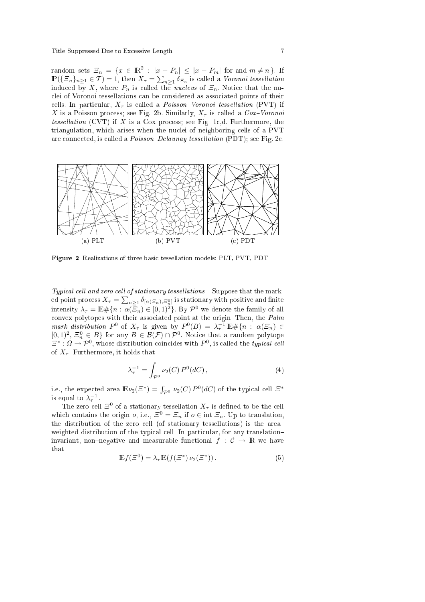random sets  $\mathcal{Z}_n = \{x \in \mathbb{R}^2 : |x - P_n| \leq |x - P_m| \text{ for and } m \neq n\}$ . If  $\mathbb{P}(\{\Xi_n\}_{n\geq 1} \in \mathcal{T}) = 1$ , then  $X_{\tau} = \sum_{n\geq 1} \delta_{\Xi_n}$  is called a *Voronoi tessellation* induced by X, where  $P_n$  is called the *nucleus* of  $\Xi_n$ . Notice that the nulei of Voronoi tessellations an be onsidered as asso
iated points of their cells. In particular,  $X_{\tau}$  is called a *Poisson-Voronoi tessellation* (PVT) if X is a Poisson process; see Fig. 2b. Similarly,  $X_{\tau}$  is called a  $Cox-Voronoi$ tessellation (CVT) if X is a Cox process; see Fig. 1c,d. Furthermore, the triangulation, whi
h arises when the nu
lei of neighboring ells of a PVT are connected, is called a *Poisson-Delaunay tessellation* (PDT); see Fig. 2c.



Figure <sup>2</sup> Realizations of three basi tessellation models: PLT, PVT, PDT

Typical cell and zero cell of stationary tessellations Suppose that the marked point process  $X_{\tau} = \sum_{n \geq 1} \delta_{[\alpha(\Xi_n), \Xi_n^0]}$  is stationary with positive and finite intensity  $\lambda_{\tau} = \mathbb{E} \# \{n : \alpha(\Xi_n) \in [0, 1)^2\}$ . By  $\mathcal{P}^0$  we denote the family of all convex polytopes with their associated point at the origin. Then, the Palm mark distribution  $P^0$  of  $X_\tau$  is given by  $P^0(B) = \lambda_\tau^{-1} \mathbb{E} \# \{n : \alpha(\Xi_n) \in$  $[0,1)^2$ ,  $\Xi_n^0 \in B$  for any  $B \in \mathcal{B}(\mathcal{F}) \cap \mathcal{P}^0$ . Notice that a random polytope  $\Xi^* : \Omega \to \mathcal{P}^0$ , whose distribution coincides with  $P^0$ , is called the *typical cell* of  $X_{\tau}$ . Furthermore, it holds that

$$
\lambda_{\tau}^{-1} = \int_{\mathcal{P}^0} \nu_2(C) \, P^0(dC) \,, \tag{4}
$$

i.e., the expected area  $\mathbb{E} \nu_2(\Xi^*) = \int_{\mathcal{P}^0} \nu_2(C) P^0(dC)$  of the typical cell  $\Xi^*$ is equal to  $\lambda_\tau^{-1}$ .

The zero cell  $\mathcal{Z}^0$  of a stationary tessellation  $X_\tau$  is defined to be the cell which contains the origin *o*, i.e.,  $\mathcal{Z}^0 = \mathcal{Z}_n$  if  $o \in \text{int } \mathcal{Z}_n$ . Up to translation. the distribution of the zero ell (of stationary tessellations) is the area weighted distribution of the typical cell. In particular, for any translationinvariant, non-negative and measurable functional  $f : \mathcal{C} \to \mathbb{R}$  we have that

$$
\mathbb{E}f(\Xi^0) = \lambda_\tau \mathbb{E}(f(\Xi^*) \nu_2(\Xi^*)). \tag{5}
$$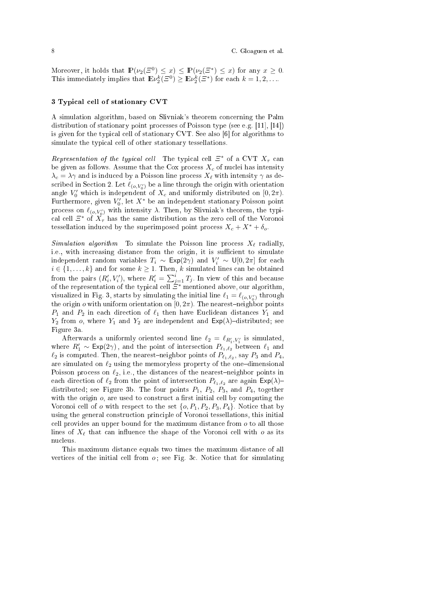Moreover, it holds that  $\mathbb{P}(\nu_2(\Xi^0) \leq x) \leq \mathbb{P}(\nu_2(\Xi^*) \leq x)$  for any  $x \geq 0$ . This immediately implies that  $\mathbb{E} \nu_2^k(\mathcal{Z}^0) \geq \mathbb{E} \nu_2^k(\mathcal{Z}^*)$  for each  $k = 1, 2, ...$ 

#### 3 Typi
al ell of stationary CVT

A simulation algorithm, based on Slivniak's theorem on
erning the Palm distribution of stationary point processes of Poisson type (see e.g.  $[11], [14]$ ) is given for the typical cell of stationary CVT. See also  $[6]$  for algorithms to simulate the typical cell of other stationary tessellations.

Representation of the typical cell The typical cell  $\mathcal{Z}^*$  of a CVT  $X_{\tau}$  can be given as follows. Assume that the Cox process  $X_c$  of nuclei has intensity  $\lambda_c = \lambda \gamma$  and is induced by a Poisson line process  $X_{\ell}$  with intensity  $\gamma$  as described in Section 2. Let  $\ell_{(o,V_0')}$  be a line through the origin with orientation angle  $V'_0$  which is independent of  $X_c$  and uniformly distributed on  $[0, 2\pi)$ . Furthermore, given  $V_0'$ , let  $X^*$  be an independent stationary Poisson point process on  $\ell_{(o,V_0')}$  with intensity  $\lambda$ . Then, by Slivniak's theorem, the typical cell  $\mathcal{E}^*$  of  $\check{X}_{\tau}$  has the same distribution as the zero cell of the Voronoi tessellation induced by the superimposed point process  $X_c + X^* + \delta_o$ .

Simulation algorithm To simulate the Poisson line process  $X_{\ell}$  radially, i.e., with increasing distance from the origin, it is sufficient to simulate independent random variables  $T_i \sim \text{Exp}(2\gamma)$  and  $V'_i \sim U[0, 2\pi]$  for each  $i \in \{1, \ldots, k\}$  and for some  $k \geq 1$ . Then, k simulated lines can be obtained from the pairs  $(R'_i, V'_i)$ , where  $R'_i = \sum_{j=1}^i T_j$ . In view of this and because of the representation of the typical cell  $\tilde{\varXi}^{*}$  mentioned above, our algorithm, visualized in Fig. 3, starts by simulating the initial line  $\ell_1 = \ell_{(o,V_0')}$  through the origin o with uniform orientation on  $[0, 2\pi)$ . The nearest-neighbor points  $P_1$  and  $P_2$  in each direction of  $\ell_1$  then have Euclidean distances  $Y_1$  and  $Y_2$  from o, where  $Y_1$  and  $Y_2$  are independent and  $Exp(\lambda)$ -distributed; see Figure 3a.

Afterwards a uniformly oriented second line  $\ell_2 = \ell_{R'_1, V'_1}$  is simulated, where  $R'_1 \sim \text{Exp}(2\gamma)$ , and the point of intersection  $P_{\ell_1,\ell_2}$  between  $\ell_1$  and  $\ell_2$  is computed. Then, the nearest–neighbor points of  $P_{\ell_1,\ell_2},$  say  $P_3$  and  $P_4,$ are simulated on  $\ell_2$  using the memoryless property of the one-dimensional Poisson process on  $\ell_2$ , i.e., the distances of the nearest-neighbor points in each direction of  $\ell_2$  from the point of intersection  $P_{\ell_1,\ell_2}$  are again  $\text{Exp}(\lambda)$ distributed; see Figure 3b. The four points  $P_1$ ,  $P_2$ ,  $P_3$ , and  $P_4$ , together with the origin  $o$ , are used to construct a first initial cell by computing the Voronoi cell of o with respect to the set  $\{o, P_1, P_2, P_3, P_4\}$ . Notice that by using the general construction principle of Voronoi tessellations, this initial cell provides an upper bound for the maximum distance from  $o$  to all those lines of  $X_{\ell}$  that can influence the shape of the Voronoi cell with o as its nu
leus.

This maximum distan
e equals two times the maximum distan
e of all vertices of the initial cell from  $o$ ; see Fig. 3c. Notice that for simulating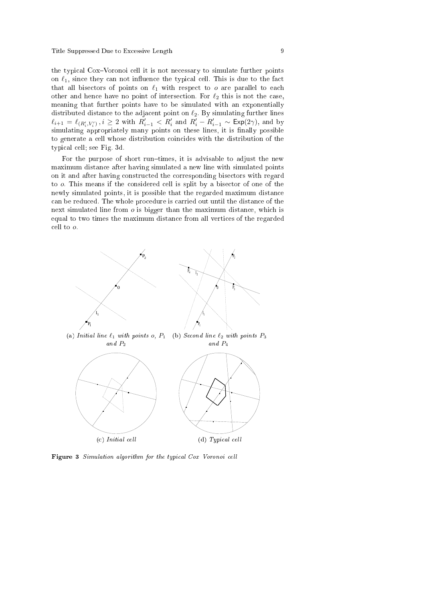the typical Cox-Voronoi cell it is not necessary to simulate further points on  $\ell_1$ , since they can not influence the typical cell. This is due to the fact that all bisectors of points on  $\ell_1$  with respect to  $o$  are parallel to each other and hence have no point of intersection. For  $\ell_2$  this is not the case, meaning that further points have to be simulated with an exponentially distributed distance to the adjacent point on  $\ell_2$ . By simulating further lines  $\ell_{i+1} = \ell_{(R'_i, V'_i)}$ ,  $i \geq 2$  with  $R'_{i-1} < R'_i$  and  $R'_i - R'_{i-1} \sim \text{Exp}(2\gamma)$ , and by simulating appropriately many points on these lines, it is finally possible to generate a ell whose distribution oin
ides with the distribution of the typi
al ell; see Fig. 3d.

For the purpose of short run-times, it is advisable to adjust the new maximum distan
e after having simulated a new line with simulated points on it and after having constructed the corresponding bisectors with regard to o. This means if the onsidered ell is split by a bise
tor of one of the newly simulated points, it is possible that the regarded maximum distan
e an be redu
ed. The whole pro
edure is arried out until the distan
e of the next simulated line from  $o$  is bigger than the maximum distance, which is equal to two times the maximum distan
e from all verti
es of the regarded ell to o.



Figure <sup>3</sup> Simulation algorithm for the typi
al CoxVoronoi el l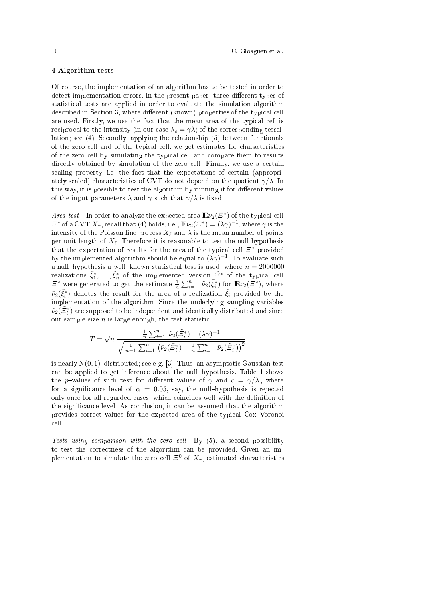## 4 Algorithm tests

Of ourse, the implementation of an algorithm has to be tested in order to detect implementation errors. In the present paper, three different types of statisti
al tests are applied in order to evaluate the simulation algorithm described in Section 3, where different (known) properties of the typical cell are used. Firstly, we use the fact that the mean area of the typical cell is reciprocal to the intensity (in our case  $\lambda_c = \gamma \lambda$ ) of the corresponding tessellation; see (4). Secondly, applying the relationship (5) between functionals of the zero cell and of the typical cell, we get estimates for characteristics of the zero ell by simulating the typi
al ell and ompare them to results directly obtained by simulation of the zero cell. Finally, we use a certain scaling property, i.e. the fact that the expectations of certain (appropriately scaled) characteristics of CVT do not depend on the quotient  $\gamma/\lambda$ . In this way, it is possible to test the algorithm by running it for different values of the input parameters  $\lambda$  and  $\gamma$  such that  $\gamma/\lambda$  is fixed.

Area test In order to analyze the expected area  $\mathbb{E} \nu_2(\mathbb{E}^*)$  of the typical cell  $\Xi^*$  of a CVT  $X_\tau$ , recall that (4) holds, i.e.,  $\mathbb{E}\nu_2(\Xi^*)=(\lambda\gamma)^{-1}$ , where  $\gamma$  is the intensity of the Poisson line process  $X_{\ell}$  and  $\lambda$  is the mean number of points per unit length of  $X_{\ell}$ . Therefore it is reasonable to test the null-hypothesis that the expectation of results for the area of the typical cell  $\varXi^*$  provided by the implemented algorithm should be equal to  $(\lambda \gamma)^{-1}.$  To evaluate such a null–hypothesis a well–known statistical test is used, where  $n = 2000000$ realizations  $\tilde{\xi}_1^*, \ldots, \tilde{\xi}_n^*$  of the implemented version  $\tilde{\mathcal{Z}}^*$  of the typical cell  $\mathbb{E}^*$  were generated to get the estimate  $\frac{1}{n}\sum_{i=1}^n \tilde{\nu}_2(\tilde{\xi}_i^*)$  for  $\mathbb{E} \nu_2(\mathbb{E}^*)$ , where  $\tilde{\nu}_2(\tilde{\xi}^*_i)$  denotes the result for the area of a realization  $\tilde{\xi}_i$  provided by the implementation of the algorithm. Sin
e the underlying sampling variables  $\tilde \nu_2(\tilde \Xi_i^*)$  are supposed to be independent and identically distributed and since our sample size  $n$  is large enough, the test statistic

$$
T = \sqrt{n} \frac{\frac{1}{n} \sum_{i=1}^{n} \tilde{\nu}_2(\tilde{\Xi}_i^*) - (\lambda \gamma)^{-1}}{\sqrt{\frac{1}{n-1} \sum_{i=1}^{n} (\tilde{\nu}_2(\tilde{\Xi}_i^*) - \frac{1}{n} \sum_{i=1}^{n} \tilde{\nu}_2(\tilde{\Xi}_i^*)^2}}
$$

is nearly  $N(0, 1)$ -distributed; see e.g. [3]. Thus, an asymptotic Gaussian test can be applied to get inference about the null-hypothesis. Table 1 shows the p-values of such test for different values of  $\gamma$  and  $c = \gamma/\lambda$ , where for a significance level of  $\alpha = 0.05$ , say, the null-hypothesis is rejected only once for all regarded cases, which coincides well with the definition of the significance level. As conclusion, it can be assumed that the algorithm provides correct values for the expected area of the typical Cox-Voronoi ell.

Tests using comparison with the zero cell  $\mathbf{B}$ <sub>y</sub> (5), a second possibility to test the correctness of the algorithm can be provided. Given an implementation to simulate the zero cell  $\mathcal{E}^0$  of  $X_{\tau}$ , estimated characteristics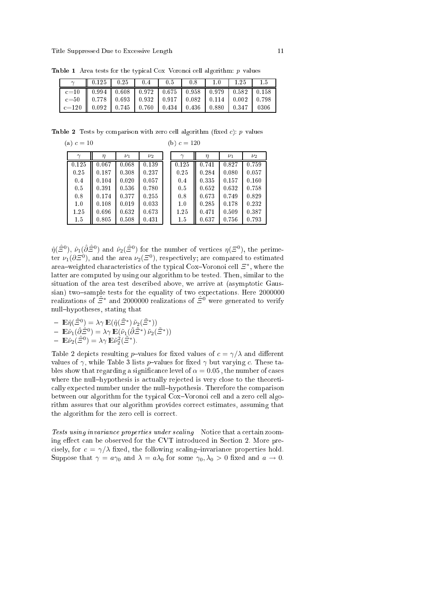| $\gamma$    0.125   0.25   0.4   0.5   0.8   1.0   1.25   1.5                                                                                        |  |  |  |  |
|------------------------------------------------------------------------------------------------------------------------------------------------------|--|--|--|--|
| c=10 $\parallel$ 0.994 0.608 0.972 0.675 0.958 0.979 0.582 0.158                                                                                     |  |  |  |  |
| c=50 $\parallel$ 0.778 $\parallel$ 0.693 $\parallel$ 0.932 $\parallel$ 0.917 $\parallel$ 0.082 $\parallel$ 0.114 $\parallel$ 0.002 $\parallel$ 0.798 |  |  |  |  |
| c=120   0.092   0.745   0.760   0.434   0.436   0.880   0.347   0306                                                                                 |  |  |  |  |

**Table 1** Area tests for the typical Cox-Voronoi cell algorithm:  $p$ -values

**Table 2** Tests by comparison with zero cell algorithm (fixed c): p-values

(b)  $c = 120$ 

| $\sim$ | $\eta$ | $\nu_1$ | $\nu_2$ | $\sim$ |       | $\nu_1$ | $\nu_2$ |
|--------|--------|---------|---------|--------|-------|---------|---------|
| 0.125  | 0.067  | 0.068   | 0.139   | 0.125  | 0.741 | 0.827   | 0.759   |
| 0.25   | 0.187  | 0.308   | 0.237   | 0.25   | 0.284 | 0.080   | 0.057   |
| 0.4    | 0.104  | 0.020   | 0.057   | 0.4    | 0.335 | 0.157   | 0.160   |
| 0.5    | 0.391  | 0.536   | 0.780   | 0.5    | 0.652 | 0.632   | 0.758   |
| 0.8    | 0.174  | 0.377   | 0.255   | 0.8    | 0.673 | 0.749   | 0.829   |
| 1.0    | 0.108  | 0.019   | 0.033   | 1.0    | 0.285 | 0.178   | 0.232   |
| 1.25   | 0.696  | 0.632   | 0.673   | 1.25   | 0.471 | 0.509   | 0.387   |
| 1.5    | 0.805  | 0.508   | 0.431   | 1.5    | 0.637 | 0.756   | 0.793   |

 $\hat{\eta}(\hat{\Xi}^0)$ ,  $\hat{\nu}_1(\hat{\partial}\hat{\Xi}^0)$  and  $\hat{\nu}_2(\hat{\Xi}^0)$  for the number of vertices  $\eta(\Xi^0)$ , the perimeter  $\nu_1(\partial \mathcal{Z}^0)$ , and the area  $\nu_2(\mathcal{Z}^0)$ , respectively; are compared to estimated area–weighted characteristics of the typical Cox–Voronoi cell  $\varXi^*,$  where the latter are omputed by using our algorithm to be tested. Then, similar to the situation of the area test described above, we arrive at (asymptotic Gaussian) two-sample tests for the equality of two expectations. Here 2000000 realizations of  $\tilde{\Xi}^*$  and 2000000 realizations of  $\hat{\Xi}^0$  were generated to verify null-hypotheses, stating that

- $-\mathbb{E}\hat{\eta}(\hat{\Xi}^0) = \lambda \gamma \mathbb{E}(\tilde{\eta}(\tilde{\Xi}^*) \tilde{\nu}_2(\tilde{\Xi}^*))$
- $-\mathbb{E}\hat{\nu}_1(\hat{\partial}\hat{\Xi}^0)=\lambda\gamma\,\mathbb{E}(\tilde{\nu}_1(\tilde{\partial}\tilde{\Xi}^*)\tilde{\nu}_2(\tilde{\Xi}^*))$
- $-\mathbb{E}\hat{\nu}_2(\hat{\Xi}^0) = \lambda \gamma \mathbb{E}\tilde{\nu}_2^2(\tilde{\Xi}^*)$ .

Table 2 depicts resulting p-values for fixed values of  $c = \gamma/\lambda$  and different values of  $\gamma$ , while Table 3 lists p-values for fixed  $\gamma$  but varying c. These tables show that regarding a significance level of  $\alpha = 0.05$ , the number of cases where the null-hypothesis is actually rejected is very close to the theoretically expected number under the null-hypothesis. Therefore the comparison between our algorithm for the typical Cox-Voronoi cell and a zero cell algorithm assures that our algorithm provides orre
t estimates, assuming that the algorithm for the zero cell is correct.

Tests using invariance properties under scaling Notice that a certain zooming effect can be observed for the CVT introduced in Section 2. More precisely, for  $c = \gamma/\lambda$  fixed, the following scaling-invariance properties hold. Suppose that  $\gamma = a\gamma_0$  and  $\lambda = a\lambda_0$  for some  $\gamma_0, \lambda_0 > 0$  fixed and  $a \to 0$ .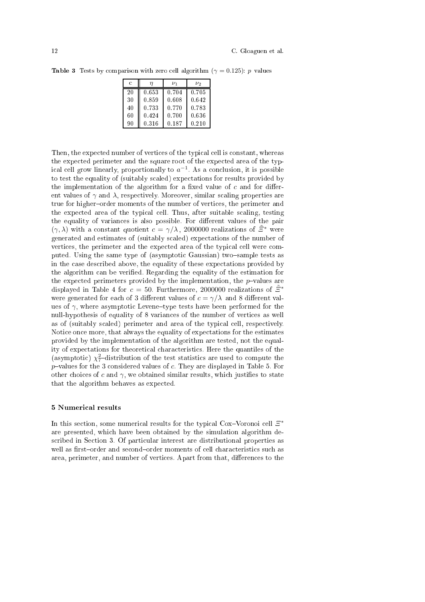|  |                                                       | v |
|--|-------------------------------------------------------|---|
|  | $20$ 0.653 0.704 0.705                                |   |
|  | $\parallel$ 0.859 $\parallel$ 0.608 $\parallel$ 0.642 |   |

 $Qf$ 

30 0.859 **0.859 0.642**  0.733 0.770 0.783 0.424 0.700 0.636 0.316 0.187 0.210

**Table 3** Tests by comparison with zero cell algorithm ( $\gamma = 0.125$ ): p-values

Then, the expected number of vertices of the typical cell is constant, whereas the expected perimeter and the square root of the expected area of the typical cell grow linearly, proportionally to  $a^{-1}$ . As a conclusion, it is possible to test the equality of (suitably s
aled) expe
tations for results provided by the implementation of the algorithm for a fixed value of  $c$  and for different values of  $\gamma$  and  $\lambda$ , respectively. Moreover, similar scaling properties are true for higher-order moments of the number of vertices, the perimeter and the expected area of the typical cell. Thus, after suitable scaling, testing the equality of variances is also possible. For different values of the pair  $(\gamma, \lambda)$  with a constant quotient  $c = \gamma/\lambda$ , 2000000 realizations of  $\tilde{\Xi}^*$  were generated and estimates of (suitably s
aled) expe
tations of the number of vertices, the perimeter and the expected area of the typical cell were computed. Using the same type of (asymptotic Gaussian) two-sample tests as in the ase des
ribed above, the equality of these expe
tations provided by the algorithm can be verified. Regarding the equality of the estimation for the expected perimeters provided by the implementation, the  $p$ -values are displayed in Table 4 for  $c = 50$ . Furthermore, 2000000 realizations of  $\tilde{\Xi}^*$ were generated for each of 3 different values of  $c = \gamma/\lambda$  and 8 different values of  $\gamma$ , where asymptotic Levene-type tests have been performed for the null-hypothesis of equality of 8 variances of the number of vertices as well as of (suitably scaled) perimeter and area of the typical cell, respectively. Notice once more, that always the equality of expectations for the estimates provided by the implementation of the algorithm are tested, not the equality of expe
tations for theoreti
al hara
teristi
s. Here the quantiles of the (asymptotic)  $\chi^2_7$ -distribution of the test statistics are used to compute the  $p$ -values for the 3 considered values of c. They are displayed in Table 5. For other choices of c and  $\gamma$ , we obtained similar results, which justifies to state that the algorithm behaves as expe
ted.

#### 5 Numeri
al results

In this section, some numerical results for the typical Cox–Voronoi cell  $\mathcal{Z}^*$ are presented, whi
h have been obtained by the simulation algorithm described in Section 3. Of particular interest are distributional properties as well as first-order and second-order moments of cell characteristics such as area, perimeter, and number of vertices. Apart from that, differences to the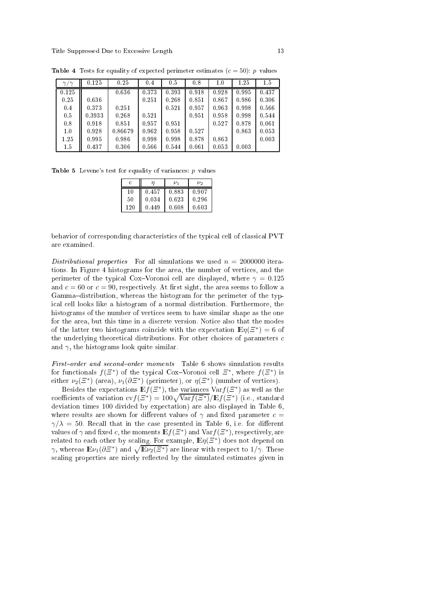| $\gamma/\gamma$ | 0.125  | 0.25    | 0.4   | 0.5   | 0.8   | $1.0\,$ | 1.25  | 1.5   |
|-----------------|--------|---------|-------|-------|-------|---------|-------|-------|
| 0.125           |        | 0.636   | 0.373 | 0.393 | 0.918 | 0.928   | 0.995 | 0.437 |
| 0.25            | 0.636  |         | 0.251 | 0.268 | 0.851 | 0.867   | 0.986 | 0.306 |
| 0.4             | 0.373  | 0.251   |       | 0.521 | 0.957 | 0.963   | 0.998 | 0.566 |
| 0.5             | 0.3933 | 0.268   | 0.521 |       | 0.951 | 0.958   | 0.998 | 0.544 |
| 0.8             | 0.918  | 0.851   | 0.957 | 0.951 |       | 0.527   | 0.878 | 0.061 |
| 1.0             | 0.928  | 0.86679 | 0.962 | 0.958 | 0.527 |         | 0.863 | 0.053 |
| 1.25            | 0.995  | 0.986   | 0.998 | 0.998 | 0.878 | 0.863   |       | 0.003 |
| 1.5             | 0.437  | 0.306   | 0.566 | 0.544 | 0.061 | 0.053   | 0.003 |       |

**Table 4** Tests for equality of expected perimeter estimates  $(c = 50)$ : *p*-values

Table 5 Levene's test for equality of variances:  $p$ -values

| C   |       | $\nu_1$ | ν›    |
|-----|-------|---------|-------|
| 10  | 0.457 | 0.883   | 0.907 |
| 50  | 0.034 | 0.623   | 0.296 |
| 120 | .449  | 0.608   | 0.603 |

behavior of corresponding characteristics of the typical cell of classical PVT are examined.

Distributional properties For all simulations we used  $n = 2000000$  iterations. In Figure 4 histograms for the area, the number of verti
es, and the perimeter of the typical Cox-Voronoi cell are displayed, where  $\gamma = 0.125$ and  $c = 60$  or  $c = 90$ , respectively. At first sight, the area seems to follow a Gamma-distribution, whereas the histogram for the perimeter of the typi
al ell looks like a histogram of a normal distribution. Furthermore, the histograms of the number of verti
es seem to have similar shape as the one for the area, but this time in a dis
rete version. Noti
e also that the modes of the latter two histograms coincide with the expectation  $\mathbb{E} \eta(\Xi^*) = 6$  of the underlying theoretical distributions. For other choices of parameters c and  $\gamma$ , the histograms look quite similar.

First-order and second-order moments Table 6 shows simulation results for functionals  $f(\Xi^*)$  of the typical Cox-Voronoi cell  $\Xi^*$ , where  $f(\Xi^*)$  is either  $\nu_2(\Xi^*)$  (area),  $\nu_1(\partial \Xi^*)$  (perimeter), or  $\eta(\Xi^*)$  (number of vertices).

Besides the expectations  $\mathbb{E} f(\Xi^*)$ , the variances  $\text{Var} f(\Xi^*)$  as well as the coefficients of variation  $\text{cvf}(\varXi^*) = 100\sqrt{\text{Varf}(\varXi^*)}/\mathbb{E}f(\varXi^*)$  (i.e., standard deviation times 100 divided by expe
tation) are also displayed in Table 6, where results are shown for different values of  $\gamma$  and fixed parameter  $c =$  $\gamma/\lambda = 50$ . Recall that in the case presented in Table 6, i.e. for different values of  $\gamma$  and fixed c, the moments  $\mathbb{E} f(\Xi^*)$  and  $\text{Var} f(\Xi^*)$ , respectively, are related to each other by scaling. For example,  $\mathbb{E} \eta(\mathcal{Z}^*)$  does not depend on  $\gamma,$  whereas  $\mathbb{E} \nu_1(\partial \mathcal{Z}^*)$  and  $\sqrt{\mathbb{E} \nu_2(\mathcal{Z}^*)}$  are linear with respect to  $1/\gamma.$  These scaling properties are nicely reflected by the simulated estimates given in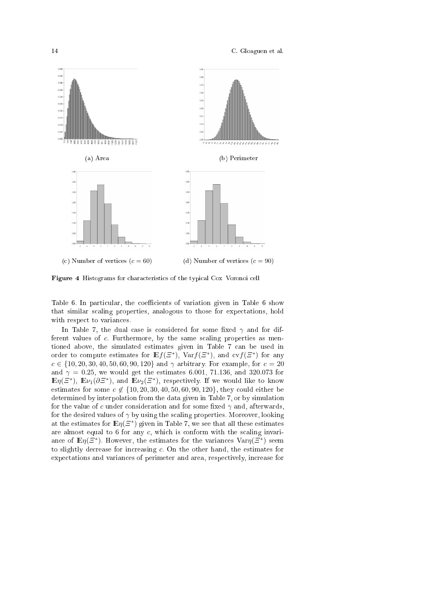14 C. Gloaguen et al.



Figure <sup>4</sup> Histograms for hara
teristi
s of the typi
al CoxVoronoi ell

Table 6. In particular, the coefficients of variation given in Table 6 show that similar scaling properties, analogous to those for expectations, hold with respect to variances.

In Table 7, the dual case is considered for some fixed  $\gamma$  and for different values of  $c$ . Furthermore, by the same scaling properties as mentioned above, the simulated estimates given in Table 7 can be used in order to compute estimates for  $E f(\mathcal{Z}^*)$ ,  $Var f(\mathcal{Z}^*)$ , and  $\text{cv} f(\mathcal{Z}^*)$  for any  $c \in \{10, 20, 30, 40, 50, 60, 90, 120\}$  and  $\gamma$  arbitrary. For example, for  $c = 20$ and  $\gamma = 0.25$ , we would get the estimates 6.001, 71.136, and 320.073 for  $\mathbb{E}\eta(\Xi^*)$ ,  $\mathbb{E}\nu_1(\partial \Xi^*)$ , and  $\mathbb{E}\nu_2(\Xi^*)$ , respectively. If we would like to know estimates for some  $c \notin \{10, 20, 30, 40, 50, 60, 90, 120\}$ , they could either be determined by interpolation from the data given in Table 7, or by simulation for the value of c under consideration and for some fixed  $\gamma$  and, afterwards, for the desired values of  $\gamma$  by using the scaling properties. Moreover, looking at the estimates for  $\mathbb{E} \eta(\mathcal{Z}^*)$  given in Table 7, we see that all these estimates are almost equal to  $6$  for any  $c$ , which is conform with the scaling invariance of  $\mathbb{E}\eta(\Xi^*)$ . However, the estimates for the variances  $\text{Var}\eta(\Xi^*)$  seem to slightly de
rease for in
reasing c. On the other hand, the estimates for expectations and variances of perimeter and area, respectively, increase for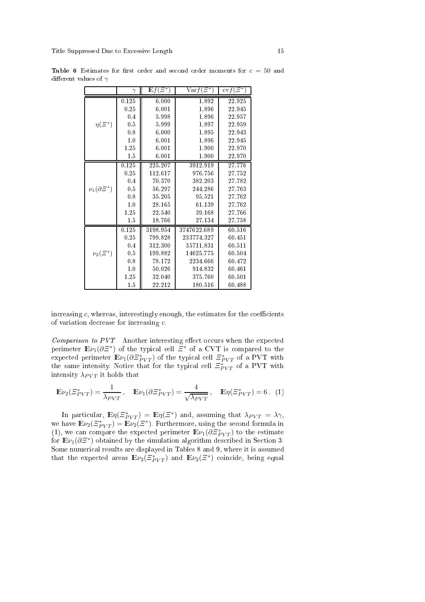|                         | $\gamma$ | $\mathbf{E}f(\Xi^*)$ | $\text{Var}f(\Xi^*)$ | $\operatorname{cvf}(\Xi^*)$ |
|-------------------------|----------|----------------------|----------------------|-----------------------------|
|                         | 0.125    | 6.000                | 1.892                | 22.925                      |
|                         | 0.25     | 6.001                | 1.896                | 22.945                      |
|                         | 0.4      | 5.998                | 1.896                | 22.957                      |
| $\eta(\Xi^*)$           | 0.5      | 5.999                | 1.897                | 22.959                      |
|                         | 0.8      | 6.000                | 1.895                | 22.943                      |
|                         | 1.0      | 6.001                | 1.896                | 22.945                      |
|                         | 1.25     | 6.001                | 1.900                | 22.970                      |
|                         | 1.5      | 6.001                | 1.900                | 22.970                      |
|                         | 0.125    | 225.207              | 3912.919             | 27.776                      |
|                         | 0.25     | 112.617              | 976.756              | 27.752                      |
|                         | 0.4      | 70.370               | 382.203              | 27.782                      |
| $\nu_1(\partial \Xi^*)$ | 0.5      | 56.297               | 244.286              | 27.763                      |
|                         | 0.8      | 35.205               | 95.521               | 27.762                      |
|                         | 1.0      | 28.165               | 61.139               | 27.762                      |
|                         | 1.25     | 22.540               | 39.168               | 27.766                      |
|                         | 1.5      | 18.766               | 27.134               | 27.758                      |
|                         | 0.125    | 3198.954             | 3747622.689          | 60.516                      |
|                         | 0.25     | 799.828              | 233774.327           | 60.451                      |
|                         | 0.4      | 312.300              | 35711.831            | 60.511                      |
| $\nu_2(\varXi^*)$       | 0.5      | 199.882              | 14625.775            | 60.504                      |
|                         | 0.8      | 78.172               | 2234.666             | 60.472                      |
|                         | 1.0      | 50.026               | 914.832              | 60.461                      |
|                         | 1.25     | 32.040               | 375.760              | 60.501                      |
|                         | 1.5      | 22.212               | 180.516              | 60.488                      |

Table 6 Estimates for first-order and second-order moments for  $c = 50$  and different values of  $\gamma$ 

increasing  $c$ , whereas, interestingly enough, the estimates for the coefficients of variation decrease for increasing  $c$ .

*Comparison to PVT* Another interesting effect occurs when the expected perimeter  $\mathbb{E}\nu_1(\partial \mathcal{Z}^*)$  of the typical cell  $\mathcal{Z}^*$  of a CVT is compared to the expected perimeter  $\mathbb{E}\nu_1(\partial \mathcal{Z}_{PVT}^*)$  of the typical cell  $\mathcal{Z}_{PVT}^*$  of a PVT with the same intensity. Notice that for the typical cell  $\mathcal{E}_{PVT}^*$  of a PVT with intensity  $\lambda_{PVT}$  it holds that

$$
\mathbb{E}\nu_2(\varXi_{PVT}^*) = \frac{1}{\lambda_{PVT}}, \quad \mathbb{E}\nu_1(\partial\varXi_{PVT}^*) = \frac{4}{\sqrt{\lambda_{PVT}}}, \quad \mathbb{E}\eta(\varXi_{PVT}^*) = 6. \tag{1}
$$

In particular,  $\mathbb{E}\eta(\Xi_{PVT}^*) = \mathbb{E}\eta(\Xi^*)$  and, assuming that  $\lambda_{PVT} = \lambda \gamma$ , we have  $\mathbb{E}\nu_2(\Xi^*_{PVT})=\mathbb{E}\nu_2(\Xi^*)$ . Furthermore, using the second formula in (1), we can compare the expected perimeter  $\mathbb{E}\nu_1(\partial \mathcal{F}_{PVT}^*)$  to the estimate for  $\mathbb{E}\nu_1(\partial \mathcal{E}^*)$  obtained by the simulation algorithm described in Section 3. Some numerical results are displayed in Tables 8 and 9, where it is assumed that the expected areas  $\mathbb{E}\nu_2(\mathbb{F}_{PVT}^*)$  and  $\mathbb{E}\nu_2(\mathbb{F}^*)$  coincide, being equal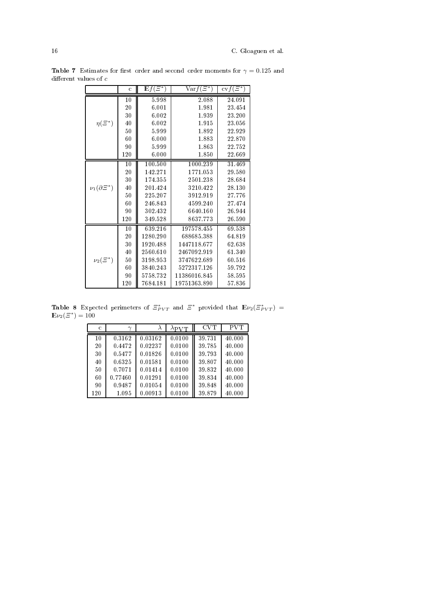|                         | $\mathbf c$ | $\mathbf{E} f(\Xi^*)$ | $\overline{\text{Var}} f(\varXi^*)$ | $\operatorname{cvf}(\Xi^*)$ |
|-------------------------|-------------|-----------------------|-------------------------------------|-----------------------------|
|                         | 10          | 5.998                 | 2.088                               | 24.091                      |
|                         | 20          | 6.001                 | 1.981                               | 23.454                      |
|                         | 30          | 6.002                 | 1.939                               | 23.200                      |
| $\eta(\Xi^*)$           | 40          | 6.002                 | 1.915                               | 23.056                      |
|                         | 50          | 5.999                 | 1.892                               | 22.929                      |
|                         | 60          | 6.000                 | 1.883                               | 22.870                      |
|                         | 90          | 5.999                 | 1.863                               | 22.752                      |
|                         | 120         | 6.000                 | 1.850                               | 22.669                      |
|                         | 10          | 100.500               | 1000.239                            | 31.469                      |
|                         | 20          | 142.271               | 1771.053                            | 29.580                      |
|                         | 30          | 174.355               | 2501.238                            | 28.684                      |
| $\nu_1(\partial \Xi^*)$ | 40          | 201.424               | 3210.422                            | 28.130                      |
|                         | 50          | 225.207               | 3912.919                            | 27.776                      |
|                         | 60          | 246.843               | 4599.240                            | 27.474                      |
|                         | 90          | 302.432               | 6640.160                            | 26.944                      |
|                         | 120         | 349.528               | 8637.773                            | 26.590                      |
|                         | 10          | 639.216               | 197578.455                          | 69.538                      |
|                         | 20          | 1280.290              | 688685.388                          | 64.819                      |
|                         | 30          | 1920.488              | 1447118.677                         | 62.638                      |
|                         | 40          | 2560.610              | 2467092.919                         | 61.340                      |
| $\nu_2(\varXi^*)$       | 50          | 3198.953              | 3747622.689                         | 60.516                      |
|                         | 60          | 3840.243              | 5272317.126                         | 59.792                      |
|                         | 90          | 5758.732              | 11386016.845                        | 58.595                      |
|                         | 120         | 7684.181              | 19751363.890                        | 57.836                      |

Table 7 Estimates for first-order and second-order moments for  $\gamma = 0.125$  and different values of  $\boldsymbol{c}$ 

Table 8 Expected perimeters of  $\Xi_{PVT}^*$  and  $\Xi^*$  provided that  $\mathbb{E}\nu_2(\Xi_{PVT}^*)=$  $\mathbb{E}\nu_2(\Xi^*)=100$ 

| $\mathcal{C}$ | $\sim$  |         | $\lambda$ <sub>DVT</sub> | <b>CVT</b> | PVT    |
|---------------|---------|---------|--------------------------|------------|--------|
| 10            | 0.3162  | 0.03162 | 0.0100                   | 39.731     | 40.000 |
| 20            | 0.4472  | 0.02237 | 0.0100                   | 39.785     | 40.000 |
| 30            | 0.5477  | 0.01826 | 0.0100                   | 39.793     | 40.000 |
| 40            | 0.6325  | 0.01581 | 0.0100                   | 39.807     | 40.000 |
| 50            | 0.7071  | 0.01414 | 0.0100                   | 39.832     | 40.000 |
| 60            | 0.77460 | 0.01291 | 0.0100                   | 39.834     | 40.000 |
| 90            | 0.9487  | 0.01054 | 0.0100                   | 39.848     | 40.000 |
| 120           | 1.095   | 0.00913 | 0.0100                   | 39.879     | 40.000 |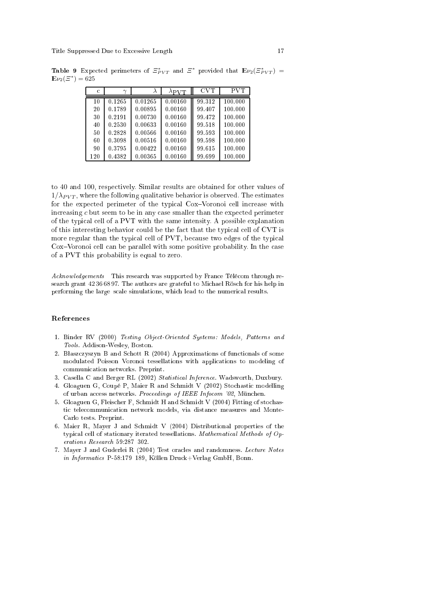| C.  | $\sim$ | $\lambda$ | $\lambda$ dv $\pi$ | CVT    | <b>PVT</b> |
|-----|--------|-----------|--------------------|--------|------------|
| 10  | 0.1265 | 0.01265   | 0.00160            | 99.312 | 100.000    |
| 20  | 0.1789 | 0.00895   | 0.00160            | 99.407 | 100.000    |
| 30  | 0.2191 | 0.00730   | 0.00160            | 99.472 | 100.000    |
| 40  | 0.2530 | 0.00633   | 0.00160            | 99.518 | 100.000    |
| 50  | 0.2828 | 0.00566   | 0.00160            | 99.593 | 100.000    |
| 60  | 0.3098 | 0.00516   | 0.00160            | 99.598 | 100.000    |
| 90  | 0.3795 | 0.00422   | 0.00160            | 99.615 | 100.000    |
| 120 | 0.4382 | 0.00365   | 0.00160            | 99.699 | 100.000    |

**Table 9** Expected perimeters of  $\mathcal{E}_{PVT}^*$  and  $\mathcal{E}^*$  provided that  $\mathbb{E}\nu_2(\mathcal{E}_{PVT}^*)$  $E\nu_2(\Xi^*) = 625$ 

to 40 and 100, respectively. Similar results are obtained for other values of  $1/\lambda_{PVT}$ , where the following qualitative behavior is observed. The estimates for the expected perimeter of the typical Cox-Voronoi cell increase with increasing  $c$  but seem to be in any case smaller than the expected perimeter of the typical cell of a PVT with the same intensity. A possible explanation of this interesting behavior could be the fact that the typical cell of CVT is more regular than the typical cell of PVT, because two edges of the typical Cox-Voronoi cell can be parallel with some positive probability. In the case of a PVT this probability is equal to zero.

Acknowledgements This research was supported by France Télécom through research grant 42 36 68 97. The authors are grateful to Michael Rösch for his help in performing the large-scale simulations, which lead to the numerical results.

### References

- 1. Binder RV (2000) Testing Object-Oriented Systems: Models, Patterns and Tools. Addison-Wesley, Boston.
- 2. Błaszczyszyn B and Schott R (2004) Approximations of functionals of some modulated–Poisson Voronoi tessellations with applications to modeling of communication networks. Preprint.
- 3. Casella C and Berger RL (2002) Statistical Inference. Wadsworth, Duxbury.
- 4. Gloaguen G, Coupé P, Maier R and Schmidt V (2002) Stochastic modelling of urban access networks. Proceedings of IEEE Infocom '02, München.
- 5. Gloaguen G, Fleischer F, Schmidt H and Schmidt V (2004) Fitting of stochastic telecommunication network models, via distance measures and Monte-Carlo tests. Preprint.
- 6. Maier R, Mayer J and Schmidt V (2004) Distributional properties of the typical cell of stationary iterated tessellations. Mathematical Methods of Op $erations\,$  Research 59:287-302.
- 7. Mayer J and Guderlei R (2004) Test oracles and randomness. Lecture Notes in Informatics P-58:179-189, Köllen Druck+Verlag GmbH, Bonn.